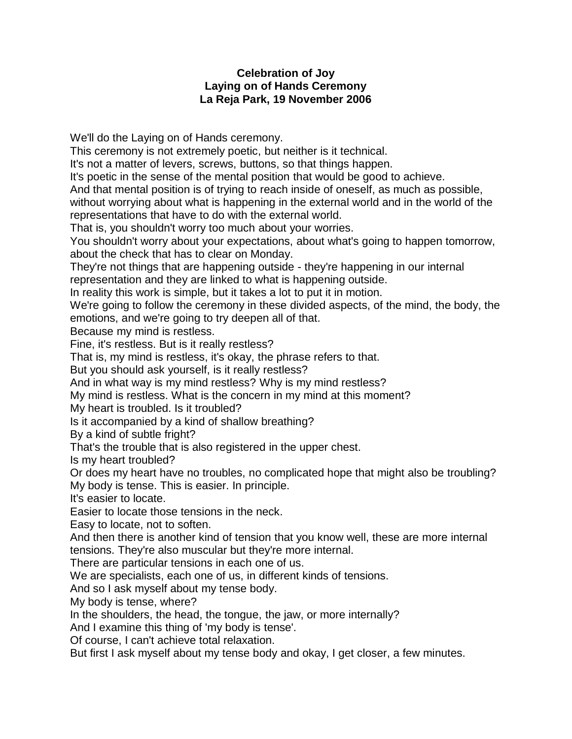## **Celebration of Joy Laying on of Hands Ceremony La Reja Park, 19 November 2006**

We'll do the Laying on of Hands ceremony.

This ceremony is not extremely poetic, but neither is it technical.

It's not a matter of levers, screws, buttons, so that things happen.

It's poetic in the sense of the mental position that would be good to achieve.

And that mental position is of trying to reach inside of oneself, as much as possible,

without worrying about what is happening in the external world and in the world of the representations that have to do with the external world.

That is, you shouldn't worry too much about your worries.

You shouldn't worry about your expectations, about what's going to happen tomorrow, about the check that has to clear on Monday.

They're not things that are happening outside - they're happening in our internal representation and they are linked to what is happening outside.

In reality this work is simple, but it takes a lot to put it in motion.

We're going to follow the ceremony in these divided aspects, of the mind, the body, the emotions, and we're going to try deepen all of that.

Because my mind is restless.

Fine, it's restless. But is it really restless?

That is, my mind is restless, it's okay, the phrase refers to that.

But you should ask yourself, is it really restless?

And in what way is my mind restless? Why is my mind restless?

My mind is restless. What is the concern in my mind at this moment?

My heart is troubled. Is it troubled?

Is it accompanied by a kind of shallow breathing?

By a kind of subtle fright?

That's the trouble that is also registered in the upper chest.

Is my heart troubled?

Or does my heart have no troubles, no complicated hope that might also be troubling?

My body is tense. This is easier. In principle.

It's easier to locate.

Easier to locate those tensions in the neck.

Easy to locate, not to soften.

And then there is another kind of tension that you know well, these are more internal tensions. They're also muscular but they're more internal.

There are particular tensions in each one of us.

We are specialists, each one of us, in different kinds of tensions.

And so I ask myself about my tense body.

My body is tense, where?

In the shoulders, the head, the tongue, the jaw, or more internally?

And I examine this thing of 'my body is tense'.

Of course, I can't achieve total relaxation.

But first I ask myself about my tense body and okay, I get closer, a few minutes.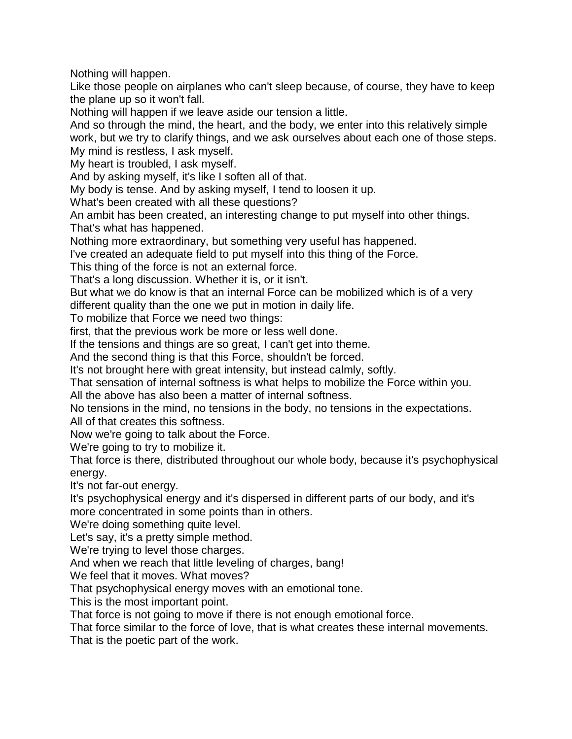Nothing will happen.

Like those people on airplanes who can't sleep because, of course, they have to keep the plane up so it won't fall.

Nothing will happen if we leave aside our tension a little.

And so through the mind, the heart, and the body, we enter into this relatively simple work, but we try to clarify things, and we ask ourselves about each one of those steps. My mind is restless, I ask myself.

My heart is troubled, I ask myself.

And by asking myself, it's like I soften all of that.

My body is tense. And by asking myself, I tend to loosen it up.

What's been created with all these questions?

An ambit has been created, an interesting change to put myself into other things. That's what has happened.

Nothing more extraordinary, but something very useful has happened.

I've created an adequate field to put myself into this thing of the Force.

This thing of the force is not an external force.

That's a long discussion. Whether it is, or it isn't.

But what we do know is that an internal Force can be mobilized which is of a very different quality than the one we put in motion in daily life.

To mobilize that Force we need two things:

first, that the previous work be more or less well done.

If the tensions and things are so great, I can't get into theme.

And the second thing is that this Force, shouldn't be forced.

It's not brought here with great intensity, but instead calmly, softly.

That sensation of internal softness is what helps to mobilize the Force within you.

All the above has also been a matter of internal softness.

No tensions in the mind, no tensions in the body, no tensions in the expectations.

All of that creates this softness.

Now we're going to talk about the Force.

We're going to try to mobilize it.

That force is there, distributed throughout our whole body, because it's psychophysical energy.

It's not far-out energy.

It's psychophysical energy and it's dispersed in different parts of our body, and it's more concentrated in some points than in others.

We're doing something quite level.

Let's say, it's a pretty simple method.

We're trying to level those charges.

And when we reach that little leveling of charges, bang!

We feel that it moves. What moves?

That psychophysical energy moves with an emotional tone.

This is the most important point.

That force is not going to move if there is not enough emotional force.

That force similar to the force of love, that is what creates these internal movements.

That is the poetic part of the work.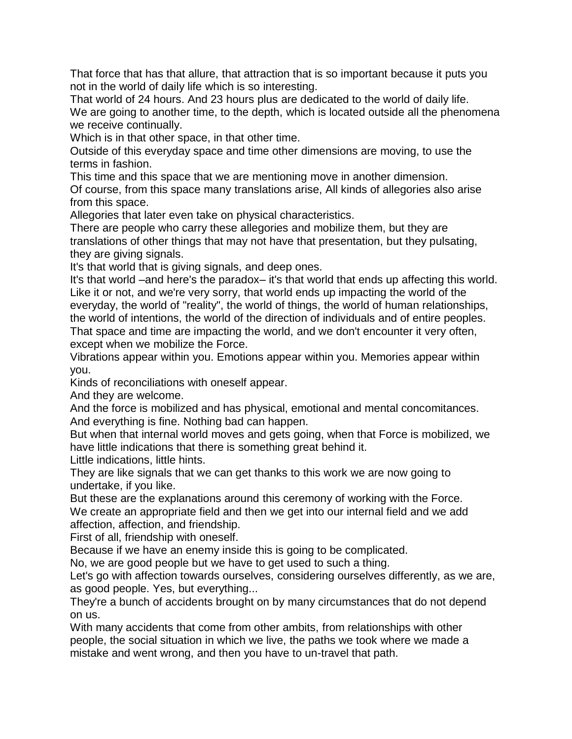That force that has that allure, that attraction that is so important because it puts you not in the world of daily life which is so interesting.

That world of 24 hours. And 23 hours plus are dedicated to the world of daily life. We are going to another time, to the depth, which is located outside all the phenomena we receive continually.

Which is in that other space, in that other time.

Outside of this everyday space and time other dimensions are moving, to use the terms in fashion.

This time and this space that we are mentioning move in another dimension.

Of course, from this space many translations arise, All kinds of allegories also arise from this space.

Allegories that later even take on physical characteristics.

There are people who carry these allegories and mobilize them, but they are translations of other things that may not have that presentation, but they pulsating, they are giving signals.

It's that world that is giving signals, and deep ones.

It's that world –and here's the paradox– it's that world that ends up affecting this world. Like it or not, and we're very sorry, that world ends up impacting the world of the everyday, the world of "reality", the world of things, the world of human relationships, the world of intentions, the world of the direction of individuals and of entire peoples. That space and time are impacting the world, and we don't encounter it very often, except when we mobilize the Force.

Vibrations appear within you. Emotions appear within you. Memories appear within you.

Kinds of reconciliations with oneself appear.

And they are welcome.

And the force is mobilized and has physical, emotional and mental concomitances. And everything is fine. Nothing bad can happen.

But when that internal world moves and gets going, when that Force is mobilized, we have little indications that there is something great behind it.

Little indications, little hints.

They are like signals that we can get thanks to this work we are now going to undertake, if you like.

But these are the explanations around this ceremony of working with the Force. We create an appropriate field and then we get into our internal field and we add affection, affection, and friendship.

First of all, friendship with oneself.

Because if we have an enemy inside this is going to be complicated.

No, we are good people but we have to get used to such a thing.

Let's go with affection towards ourselves, considering ourselves differently, as we are, as good people. Yes, but everything...

They're a bunch of accidents brought on by many circumstances that do not depend on us.

With many accidents that come from other ambits, from relationships with other people, the social situation in which we live, the paths we took where we made a mistake and went wrong, and then you have to un-travel that path.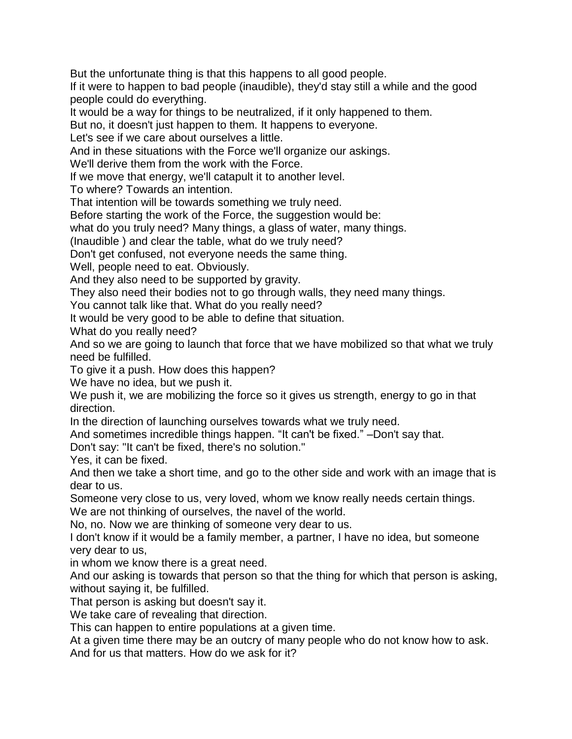But the unfortunate thing is that this happens to all good people.

If it were to happen to bad people (inaudible), they'd stay still a while and the good people could do everything.

It would be a way for things to be neutralized, if it only happened to them.

But no, it doesn't just happen to them. It happens to everyone.

Let's see if we care about ourselves a little.

And in these situations with the Force we'll organize our askings.

We'll derive them from the work with the Force.

If we move that energy, we'll catapult it to another level.

To where? Towards an intention.

That intention will be towards something we truly need.

Before starting the work of the Force, the suggestion would be:

what do you truly need? Many things, a glass of water, many things.

(Inaudible ) and clear the table, what do we truly need?

Don't get confused, not everyone needs the same thing.

Well, people need to eat. Obviously.

And they also need to be supported by gravity.

They also need their bodies not to go through walls, they need many things.

You cannot talk like that. What do you really need?

It would be very good to be able to define that situation.

What do you really need?

And so we are going to launch that force that we have mobilized so that what we truly need be fulfilled.

To give it a push. How does this happen?

We have no idea, but we push it.

We push it, we are mobilizing the force so it gives us strength, energy to go in that direction.

In the direction of launching ourselves towards what we truly need.

And sometimes incredible things happen. "It can't be fixed." –Don't say that.

Don't say: "It can't be fixed, there's no solution."

Yes, it can be fixed.

And then we take a short time, and go to the other side and work with an image that is dear to us.

Someone very close to us, very loved, whom we know really needs certain things.

We are not thinking of ourselves, the navel of the world.

No, no. Now we are thinking of someone very dear to us.

I don't know if it would be a family member, a partner, I have no idea, but someone very dear to us,

in whom we know there is a great need.

And our asking is towards that person so that the thing for which that person is asking, without saying it, be fulfilled.

That person is asking but doesn't say it.

We take care of revealing that direction.

This can happen to entire populations at a given time.

At a given time there may be an outcry of many people who do not know how to ask.

And for us that matters. How do we ask for it?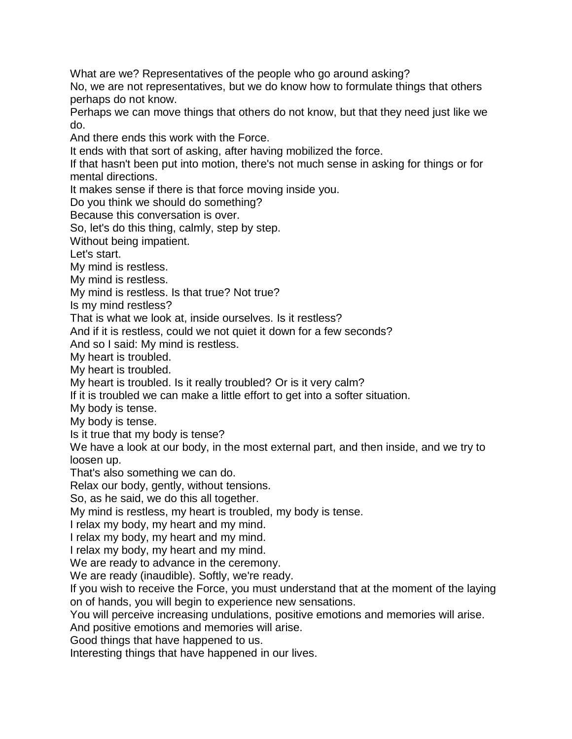What are we? Representatives of the people who go around asking?

No, we are not representatives, but we do know how to formulate things that others perhaps do not know.

Perhaps we can move things that others do not know, but that they need just like we do.

And there ends this work with the Force.

It ends with that sort of asking, after having mobilized the force.

If that hasn't been put into motion, there's not much sense in asking for things or for mental directions.

It makes sense if there is that force moving inside you.

Do you think we should do something?

Because this conversation is over.

So, let's do this thing, calmly, step by step.

Without being impatient.

Let's start.

My mind is restless.

My mind is restless.

My mind is restless. Is that true? Not true?

Is my mind restless?

That is what we look at, inside ourselves. Is it restless?

And if it is restless, could we not quiet it down for a few seconds?

And so I said: My mind is restless.

My heart is troubled.

My heart is troubled.

My heart is troubled. Is it really troubled? Or is it very calm?

If it is troubled we can make a little effort to get into a softer situation.

My body is tense.

My body is tense.

Is it true that my body is tense?

We have a look at our body, in the most external part, and then inside, and we try to loosen up.

That's also something we can do.

Relax our body, gently, without tensions.

So, as he said, we do this all together.

My mind is restless, my heart is troubled, my body is tense.

I relax my body, my heart and my mind.

I relax my body, my heart and my mind.

I relax my body, my heart and my mind.

We are ready to advance in the ceremony.

We are ready (inaudible). Softly, we're ready.

If you wish to receive the Force, you must understand that at the moment of the laying on of hands, you will begin to experience new sensations.

You will perceive increasing undulations, positive emotions and memories will arise.

And positive emotions and memories will arise.

Good things that have happened to us.

Interesting things that have happened in our lives.